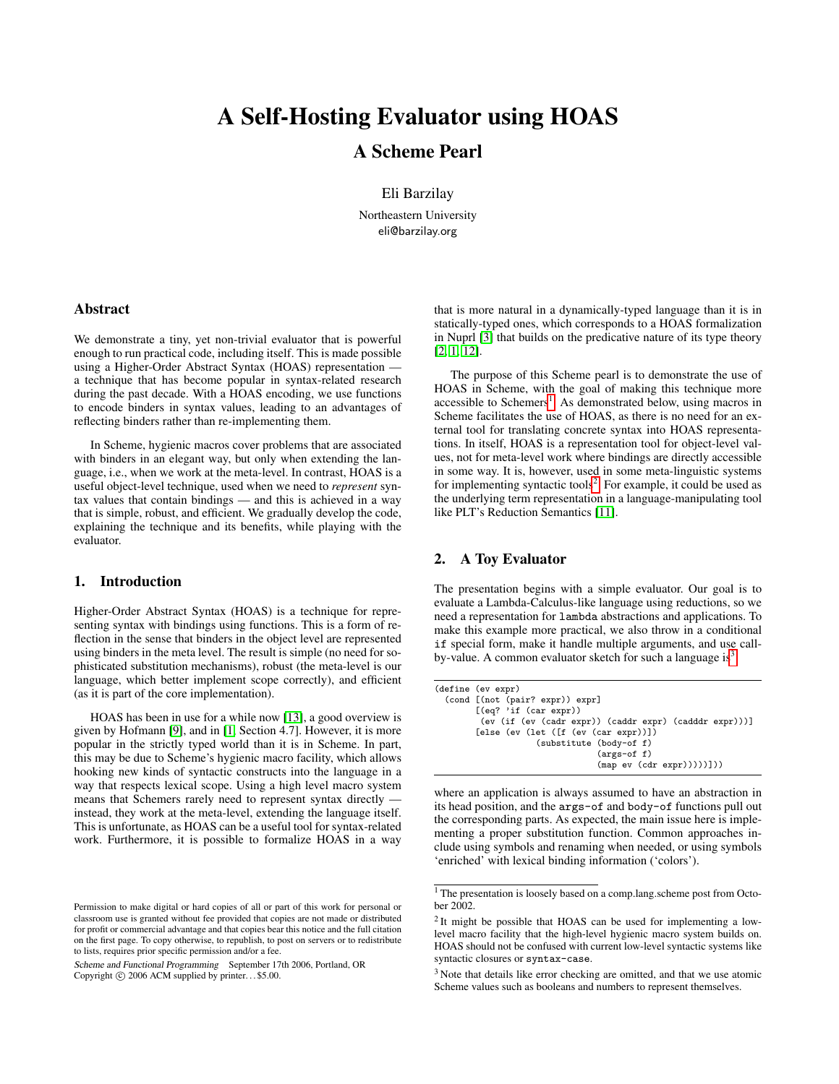# A Self-Hosting Evaluator using HOAS

# A Scheme Pearl

Eli Barzilay

Northeastern University eli@barzilay.org

## Abstract

We demonstrate a tiny, yet non-trivial evaluator that is powerful enough to run practical code, including itself. This is made possible using a Higher-Order Abstract Syntax (HOAS) representation a technique that has become popular in syntax-related research during the past decade. With a HOAS encoding, we use functions to encode binders in syntax values, leading to an advantages of reflecting binders rather than re-implementing them.

In Scheme, hygienic macros cover problems that are associated with binders in an elegant way, but only when extending the language, i.e., when we work at the meta-level. In contrast, HOAS is a useful object-level technique, used when we need to *represent* syntax values that contain bindings — and this is achieved in a way that is simple, robust, and efficient. We gradually develop the code, explaining the technique and its benefits, while playing with the evaluator.

#### 1. Introduction

Higher-Order Abstract Syntax (HOAS) is a technique for representing syntax with bindings using functions. This is a form of reflection in the sense that binders in the object level are represented using binders in the meta level. The result is simple (no need for sophisticated substitution mechanisms), robust (the meta-level is our language, which better implement scope correctly), and efficient (as it is part of the core implementation).

HOAS has been in use for a while now [\[13\]](#page-5-0), a good overview is given by Hofmann [\[9\]](#page-5-1), and in [\[1,](#page-5-2) Section 4.7]. However, it is more popular in the strictly typed world than it is in Scheme. In part, this may be due to Scheme's hygienic macro facility, which allows hooking new kinds of syntactic constructs into the language in a way that respects lexical scope. Using a high level macro system means that Schemers rarely need to represent syntax directly instead, they work at the meta-level, extending the language itself. This is unfortunate, as HOAS can be a useful tool for syntax-related work. Furthermore, it is possible to formalize HOAS in a way

Scheme and Functional Programming September 17th 2006, Portland, OR Copyright  $\circled{c}$  2006 ACM supplied by printer...\$5.00.

that is more natural in a dynamically-typed language than it is in statically-typed ones, which corresponds to a HOAS formalization in Nuprl [\[3\]](#page-5-3) that builds on the predicative nature of its type theory [\[2,](#page-5-4) [1,](#page-5-2) [12\]](#page-5-5).

The purpose of this Scheme pearl is to demonstrate the use of HOAS in Scheme, with the goal of making this technique more accessible to Schemers<sup>[1](#page-0-0)</sup>. As demonstrated below, using macros in Scheme facilitates the use of HOAS, as there is no need for an external tool for translating concrete syntax into HOAS representations. In itself, HOAS is a representation tool for object-level values, not for meta-level work where bindings are directly accessible in some way. It is, however, used in some meta-linguistic systems for implementing syntactic tools<sup>[2](#page-0-1)</sup>. For example, it could be used as the underlying term representation in a language-manipulating tool like PLT's Reduction Semantics [\[11\]](#page-5-6).

### 2. A Toy Evaluator

The presentation begins with a simple evaluator. Our goal is to evaluate a Lambda-Calculus-like language using reductions, so we need a representation for lambda abstractions and applications. To make this example more practical, we also throw in a conditional if special form, make it handle multiple arguments, and use call-by-value. A common evaluator sketch for such a language is<sup>[3](#page-0-2)</sup>:

```
(define (ev expr)
  (cond [(not (pair? expr)) expr]
[(eq? 'if (car expr))
           (ev (if (ev (cadr expr)) (caddr expr) (cadddr expr)))]
          [else (ev (let ([f (ev (car expr))])
                         (substitute (body-of f)
                                         (args-of f)
                                         (\text{map } \text{ev } (\text{cdr } \text{expr})))))))
```
where an application is always assumed to have an abstraction in its head position, and the args-of and body-of functions pull out the corresponding parts. As expected, the main issue here is implementing a proper substitution function. Common approaches include using symbols and renaming when needed, or using symbols 'enriched' with lexical binding information ('colors').

Permission to make digital or hard copies of all or part of this work for personal or classroom use is granted without fee provided that copies are not made or distributed for profit or commercial advantage and that copies bear this notice and the full citation on the first page. To copy otherwise, to republish, to post on servers or to redistribute to lists, requires prior specific permission and/or a fee.

<span id="page-0-0"></span><sup>&</sup>lt;sup>1</sup> The presentation is loosely based on a comp.lang.scheme post from October 2002.

<span id="page-0-1"></span> $2$  It might be possible that HOAS can be used for implementing a lowlevel macro facility that the high-level hygienic macro system builds on. HOAS should not be confused with current low-level syntactic systems like syntactic closures or syntax-case.

<span id="page-0-2"></span><sup>&</sup>lt;sup>3</sup> Note that details like error checking are omitted, and that we use atomic Scheme values such as booleans and numbers to represent themselves.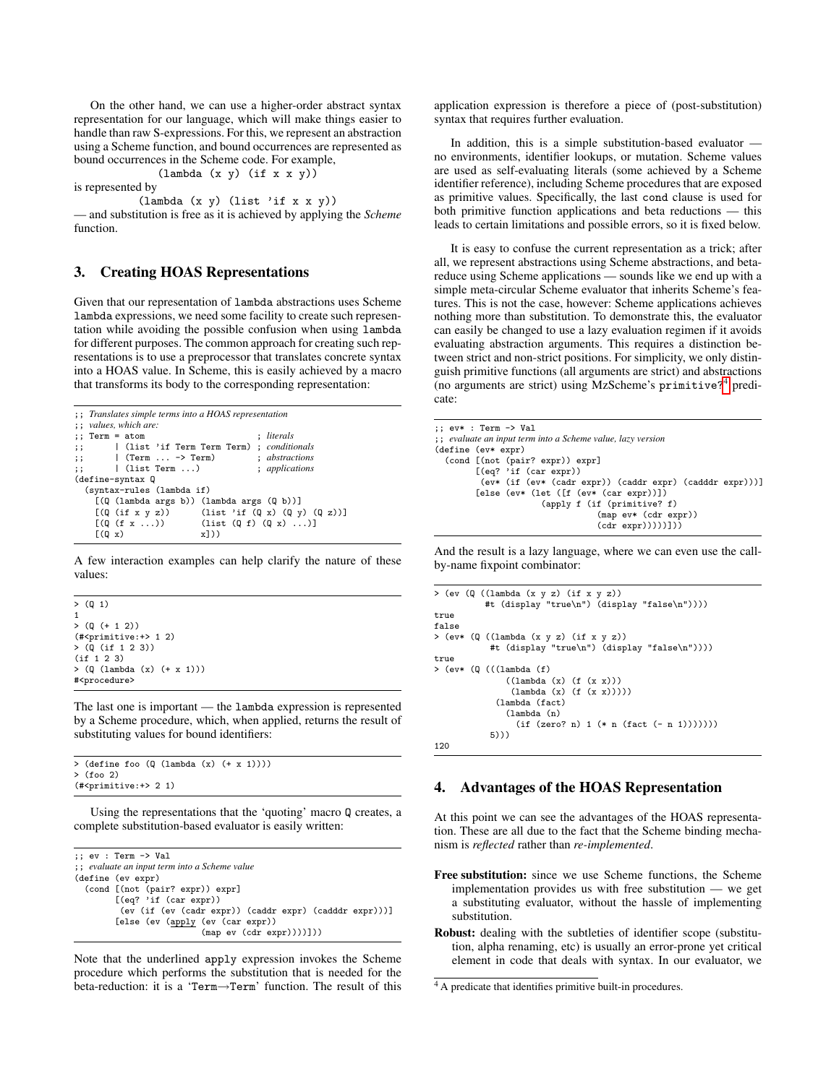On the other hand, we can use a higher-order abstract syntax representation for our language, which will make things easier to handle than raw S-expressions. For this, we represent an abstraction using a Scheme function, and bound occurrences are represented as bound occurrences in the Scheme code. For example,

$$
(lambda (x y) (if x x y))
$$

is represented by

(lambda (x y) (list 'if x x y))

— and substitution is free as it is achieved by applying the *Scheme* function.

# 3. Creating HOAS Representations

Given that our representation of lambda abstractions uses Scheme lambda expressions, we need some facility to create such representation while avoiding the possible confusion when using lambda for different purposes. The common approach for creating such representations is to use a preprocessor that translates concrete syntax into a HOAS value. In Scheme, this is easily achieved by a macro that transforms its body to the corresponding representation:

```
;; Translates simple terms into a HOAS representation
;; values, which are:
;; Term = atom ; literals
;; | (list 'if Term Term Term) ; conditionals
;; | (Term ... -> Term) ; abstractions
        ;; | (list Term ...) ; applications
(define-syntax Q
  (syntax-rules (lambda if)
    [(Q (lambda args b)) (lambda args (Q b))]
    [(\mathbb{Q} (if x y z)) (list 'if (\mathbb{Q} x) (\mathbb{Q} y) (\mathbb{Q} z))][(Q (f x ...)) (list (Q f) (Q x) ...)]<br>[(Q x) x]))
    (Q x)
```
A few interaction examples can help clarify the nature of these values:

> (Q 1) 1  $> (0 (+ 1 2))$  $(*\text{primitive}:+> 1, 2)$ > (Q (if 1 2 3)) (if 1 2 3)  $>$  ( $\Omega$  (lambda (x) (+ x 1))) #<procedure>

The last one is important — the lambda expression is represented by a Scheme procedure, which, when applied, returns the result of substituting values for bound identifiers:

```
> (define foo (Q (lambda (x) (+ x 1)))
> (foo 2)
(#<primitive:+> 2 1)
```
Using the representations that the 'quoting' macro Q creates, a complete substitution-based evaluator is easily written:

```
;; ev : Term -> Val
;; evaluate an input term into a Scheme value
(define (ev expr)
  (cond [(not (pair? expr)) expr]
[(eq? 'if (car expr))
          (ev (if (ev (cadr expr)) (caddr expr) (cadddr expr)))]
         [else (ev (apply (ev (car expr))
                             (map ev (cdr expr))))]))
```
Note that the underlined apply expression invokes the Scheme procedure which performs the substitution that is needed for the beta-reduction: it is a 'Term→Term' function. The result of this

application expression is therefore a piece of (post-substitution) syntax that requires further evaluation.

In addition, this is a simple substitution-based evaluator no environments, identifier lookups, or mutation. Scheme values are used as self-evaluating literals (some achieved by a Scheme identifier reference), including Scheme procedures that are exposed as primitive values. Specifically, the last cond clause is used for both primitive function applications and beta reductions — this leads to certain limitations and possible errors, so it is fixed below.

It is easy to confuse the current representation as a trick; after all, we represent abstractions using Scheme abstractions, and betareduce using Scheme applications — sounds like we end up with a simple meta-circular Scheme evaluator that inherits Scheme's features. This is not the case, however: Scheme applications achieves nothing more than substitution. To demonstrate this, the evaluator can easily be changed to use a lazy evaluation regimen if it avoids evaluating abstraction arguments. This requires a distinction between strict and non-strict positions. For simplicity, we only distinguish primitive functions (all arguments are strict) and abstractions (no arguments are strict) using MzScheme's primitive?[4](#page-1-0) predicate:

```
;; ev* : Term -> Val
;; evaluate an input term into a Scheme value, lazy version
(define (ev* expr)
 (cond [(not (pair? expr)) expr]
        [(eq? 'if (car expr))
         (ev* (if (ev* (cadr expr)) (caddr expr) (cadddr expr)))]
        [else (ev* (let ([f (ev* (car expr))])
                      (apply f (if (primitive? f)
                                  (map ev* (cdr expr))
                                  (cdr expr)))))]))
```
And the result is a lazy language, where we can even use the callby-name fixpoint combinator:

```
> (ev (Q ((lambda (x y z) (if x y z))
           #t (display "true\n") (display "false\n"))))
true
false
> (ev* (Q ((lambda (x y z) (if x y z))
#t (display "true\n") (display "false\n"))))
true
> (ev* (\Omega (((lambda (f)
                ((lambda (x) (f (x x)))(lambda (x) (f (x x)))))
              (lambda (fact)
                (lambda (n)
                  (if (zero? n) 1 (* n (fact (- n 1)))))))
            5)))
120
```
#### 4. Advantages of the HOAS Representation

At this point we can see the advantages of the HOAS representation. These are all due to the fact that the Scheme binding mechanism is *reflected* rather than *re-implemented*.

- Free substitution: since we use Scheme functions, the Scheme implementation provides us with free substitution — we get a substituting evaluator, without the hassle of implementing substitution.
- Robust: dealing with the subtleties of identifier scope (substitution, alpha renaming, etc) is usually an error-prone yet critical element in code that deals with syntax. In our evaluator, we

<span id="page-1-0"></span><sup>&</sup>lt;sup>4</sup> A predicate that identifies primitive built-in procedures.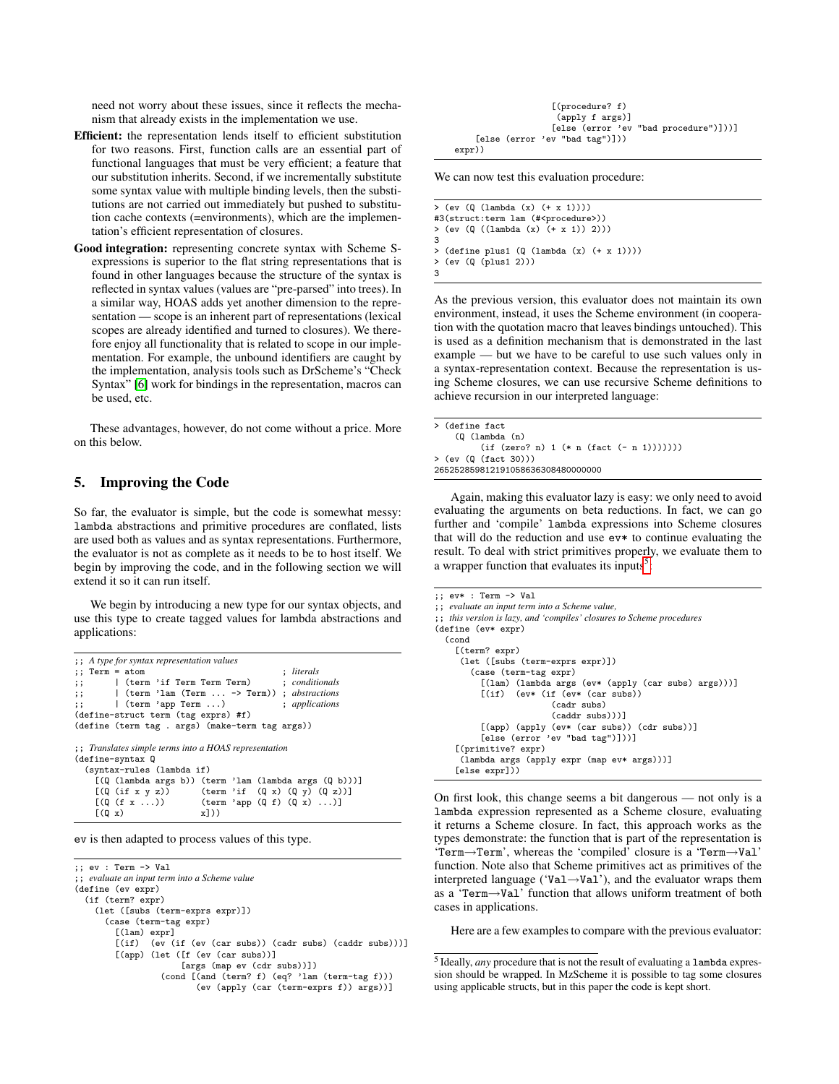need not worry about these issues, since it reflects the mechanism that already exists in the implementation we use.

- Efficient: the representation lends itself to efficient substitution for two reasons. First, function calls are an essential part of functional languages that must be very efficient; a feature that our substitution inherits. Second, if we incrementally substitute some syntax value with multiple binding levels, then the substitutions are not carried out immediately but pushed to substitution cache contexts (=environments), which are the implementation's efficient representation of closures.
- Good integration: representing concrete syntax with Scheme Sexpressions is superior to the flat string representations that is found in other languages because the structure of the syntax is reflected in syntax values (values are "pre-parsed" into trees). In a similar way, HOAS adds yet another dimension to the representation — scope is an inherent part of representations (lexical scopes are already identified and turned to closures). We therefore enjoy all functionality that is related to scope in our implementation. For example, the unbound identifiers are caught by the implementation, analysis tools such as DrScheme's "Check Syntax" [\[6\]](#page-5-7) work for bindings in the representation, macros can be used, etc.

These advantages, however, do not come without a price. More on this below.

## 5. Improving the Code

So far, the evaluator is simple, but the code is somewhat messy: lambda abstractions and primitive procedures are conflated, lists are used both as values and as syntax representations. Furthermore, the evaluator is not as complete as it needs to be to host itself. We begin by improving the code, and in the following section we will extend it so it can run itself.

We begin by introducing a new type for our syntax objects, and use this type to create tagged values for lambda abstractions and applications:

```
;; A type for syntax representation values
;; Term = atom ; literals
;; | (term 'if Term Term Term) ; conditionals
;; | (term 'lam (Term ... -> Term))
;; | (term 'app Term ...) ; applications
(define-struct term (tag exprs) #f)
(define (term tag . args) (make-term tag args))
;; Translates simple terms into a HOAS representation
(define-syntax Q
  (syntax-rules (lambda if)
     [(\mathbb{Q} \text{ (lambda args b)) (term 'lam (lambda args (\mathbb{Q} b)))]<br>[(\mathbb{Q} \text{ (if } x y z)) (term 'if (\mathbb{Q} x) (\mathbb{Q} y) (\mathbb{Q} z))][(Q (if x y z)) (term 'if (Q x) (Q y) (Q z))]<br>[(Q (f x ...)) (term 'app (Q f) (Q x) ...)](\text{term 'app (Q f) (Q x) ...})<br>x1))
     \lceil (0 x)
```
ev is then adapted to process values of this type.

```
;; ev : Term -> Val
;; evaluate an input term into a Scheme value
(define (ev expr)
 (if (term? expr)
    (let ([subs (term-exprs expr)])
      (case (term-tag expr)
        [(lam) expr]
        [(if) (ev (if (ev (car subs)) (cadr subs) (caddr subs)))]
        [(app) (let ([f (ev (car subs))]
                     [args (map ev (cdr subs))])
                 (cond [(and (term? f) (eq? 'lam (term-tag f)))
                         (ev (apply (car (term-exprs f)) args))]
```

|        | $[$ (procedure? f)                    |  |
|--------|---------------------------------------|--|
|        | (apply f args)]                       |  |
|        | [else (error 'ev "bad procedure")]))] |  |
|        | [else (error 'ev "bad tag")]))        |  |
| expr)) |                                       |  |

We can now test this evaluation procedure:

 $>$  (ev (Q (lambda (x)  $(+ x 1))$ ) #3(struct:term lam (#<procedure>)) > (ev (Q ((lambda (x) (+ x 1)) 2))) 3  $>$  (define plus1 (Q (lambda (x)  $(+ x 1))$ ))<br> $>$  (ev (0 (plus1 2))) > (ev (Q (plus1 2))) 3

As the previous version, this evaluator does not maintain its own environment, instead, it uses the Scheme environment (in cooperation with the quotation macro that leaves bindings untouched). This is used as a definition mechanism that is demonstrated in the last example — but we have to be careful to use such values only in a syntax-representation context. Because the representation is using Scheme closures, we can use recursive Scheme definitions to achieve recursion in our interpreted language:

|                                   | > (define fact |                                          |  |  |
|-----------------------------------|----------------|------------------------------------------|--|--|
|                                   | $(Q (\lambda)$ |                                          |  |  |
|                                   |                | $(if (zero? n) 1 (* n (fact (- n 1)))))$ |  |  |
|                                   |                | > (ev (Q (fact 30)))                     |  |  |
| 265252859812191058636308480000000 |                |                                          |  |  |

Again, making this evaluator lazy is easy: we only need to avoid evaluating the arguments on beta reductions. In fact, we can go further and 'compile' lambda expressions into Scheme closures that will do the reduction and use ev\* to continue evaluating the result. To deal with strict primitives properly, we evaluate them to a wrapper function that evaluates its inputs<sup>[5](#page-2-0)</sup>:

```
;; ev* : Term -> Val
;; evaluate an input term into a Scheme value,
;; this version is lazy, and 'compiles' closures to Scheme procedures
(define (ev* expr)
  (cond
    [(term? expr)
     (let ([subs (term-exprs expr)])
       (case (term-tag expr)
         [(lam) (lambda args (ev* (apply (car subs) args)))]
                 (ev* (if (ev* (car subs)))(cadr subs)
                         (caddr subs)))]
          [(app) (apply (ev* (car subs)) (cdr subs))]
          [else (error 'ev "bad tag")]))]
    [(primitive? expr)
     (lambda args (apply expr (map ev* args)))]
    [else expr]))
```
On first look, this change seems a bit dangerous — not only is a lambda expression represented as a Scheme closure, evaluating it returns a Scheme closure. In fact, this approach works as the types demonstrate: the function that is part of the representation is 'Term→Term', whereas the 'compiled' closure is a 'Term→Val' function. Note also that Scheme primitives act as primitives of the interpreted language ('Val→Val'), and the evaluator wraps them as a 'Term→Val' function that allows uniform treatment of both cases in applications.

Here are a few examples to compare with the previous evaluator:

<span id="page-2-0"></span><sup>5</sup> Ideally, *any* procedure that is not the result of evaluating a lambda expression should be wrapped. In MzScheme it is possible to tag some closures using applicable structs, but in this paper the code is kept short.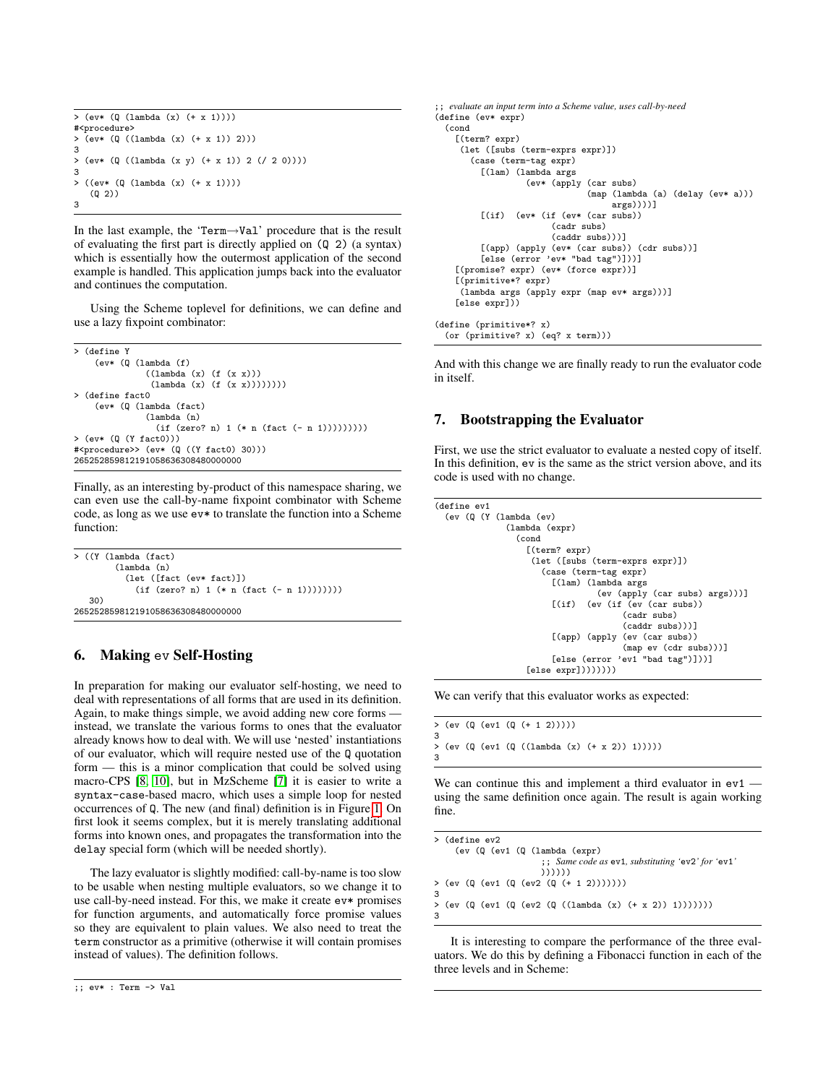```
> (ev* (Q (lambda (x) (+ x 1))))
#<procedure>
> (ev* (Q ((lambda (x) (+ x 1)) 2)))
3
> (ev* (Q ((lambda (x y) (+ x 1)) 2 (/ 2 0))))
3
> ((ev* (Q (lambda (x) (+ x 1))))
   (Q 2))
3
```
In the last example, the 'Term→Val' procedure that is the result of evaluating the first part is directly applied on (Q 2) (a syntax) which is essentially how the outermost application of the second example is handled. This application jumps back into the evaluator and continues the computation.

Using the Scheme toplevel for definitions, we can define and use a lazy fixpoint combinator:

```
> (define Y
    (ev* (Q (lambda (f)
              ((lambda (x) (f (x x)))(lambda (x) (f (x x))))))))
> (define fact0
    (ev* (Q (lambda (fact)
              (lambda (n)
                (if (zero? n) 1 (* n (fact (- n 1))))))))> (ev* (Q (Y fact0)))
#<procedure>> (ev* (Q ((Y fact0) 30)))
265252859812191058636308480000000
```
Finally, as an interesting by-product of this namespace sharing, we can even use the call-by-name fixpoint combinator with Scheme code, as long as we use ev\* to translate the function into a Scheme function:

> ((Y (lambda (fact) (lambda (n) (let ([fact (ev\* fact)])  $(if (zero? n) 1 (* n (fact (- n 1))))))))$ 30) 265252859812191058636308480000000

# 6. Making ev Self-Hosting

In preparation for making our evaluator self-hosting, we need to deal with representations of all forms that are used in its definition. Again, to make things simple, we avoid adding new core forms instead, we translate the various forms to ones that the evaluator already knows how to deal with. We will use 'nested' instantiations of our evaluator, which will require nested use of the Q quotation form — this is a minor complication that could be solved using macro-CPS [\[8,](#page-5-8) [10\]](#page-5-9), but in MzScheme [\[7\]](#page-5-10) it is easier to write a syntax-case-based macro, which uses a simple loop for nested occurrences of Q. The new (and final) definition is in Figure [1.](#page-4-0) On first look it seems complex, but it is merely translating additional forms into known ones, and propagates the transformation into the delay special form (which will be needed shortly).

The lazy evaluator is slightly modified: call-by-name is too slow to be usable when nesting multiple evaluators, so we change it to use call-by-need instead. For this, we make it create ev\* promises for function arguments, and automatically force promise values so they are equivalent to plain values. We also need to treat the term constructor as a primitive (otherwise it will contain promises instead of values). The definition follows.

```
;; evaluate an input term into a Scheme value, uses call-by-need
(define (ev* expr)
  (cond
    [(term? expr)
     (let ([subs (term-exprs expr)])
       (case (term-tag expr)
          [(lam) (lambda args
                    (ev* (apply (car subs)
                                 (map (lambda (a) (delay (ev* a)))
                                       args))))]
          [(if) (ev* (if (ev* (car subs))
                         (cadr subs)
                         (caddr subs)))]
          [(app) (apply (ev* (car subs)) (cdr subs))]
[else (error 'ev* "bad tag")]))]
    [(promise? expr) (ev* (force expr))]
    [(primitive*? expr)
     (lambda args (apply expr (map ev* args)))]
    [else expr]))
(define (primitive*? x)
  (or (primitive? x) (eq? x term)))
```
And with this change we are finally ready to run the evaluator code in itself.

# 7. Bootstrapping the Evaluator

First, we use the strict evaluator to evaluate a nested copy of itself. In this definition, ev is the same as the strict version above, and its code is used with no change.

```
(define ev1
 (ev (Q (Y (lambda (ev)
               (lambda (expr)
                 (cond
                   [(term? expr)
                    (let ([subs (term-exprs expr)])
                      (case (term-tag expr)
                        [(lam) (lambda args
                                  (ev (apply (car subs) args)))]
                        [(if) (ev (if (ev (car subs))
                                       (cadr subs)
                                       (caddr subs)))]
                        [(app) (apply (ev (car subs))
                                       (map ev (cdr subs)))]
                        [else (error 'ev1<sup>"</sup>bad tag")]))]
                   [else expr]))))))))
```
We can verify that this evaluator works as expected:

```
> (ev (Q (ev1 (Q (+ 1 2)))))
3
  > (ev (Q (ev1 (Q ((lambda (x) (+ x 2)) 1)))))
3
```
We can continue this and implement a third evaluator in  $ev1$  – using the same definition once again. The result is again working fine.

```
> (define ev2
    (ev (Q (ev1 (Q (lambda (expr)
                       ;; Same code as ev1, substituting 'ev2' for 'ev1'
                      ))))))
> (ev (Q (ev1 (Q (ev2 (Q (+ 1 2)))))))
3
> (ev (Q (ev1 (Q (ev2 (Q ((lambda (x) (+ x 2)) 1)))))))
3
```
It is interesting to compare the performance of the three evaluators. We do this by defining a Fibonacci function in each of the three levels and in Scheme:

<sup>;;</sup> ev\* : Term -> Val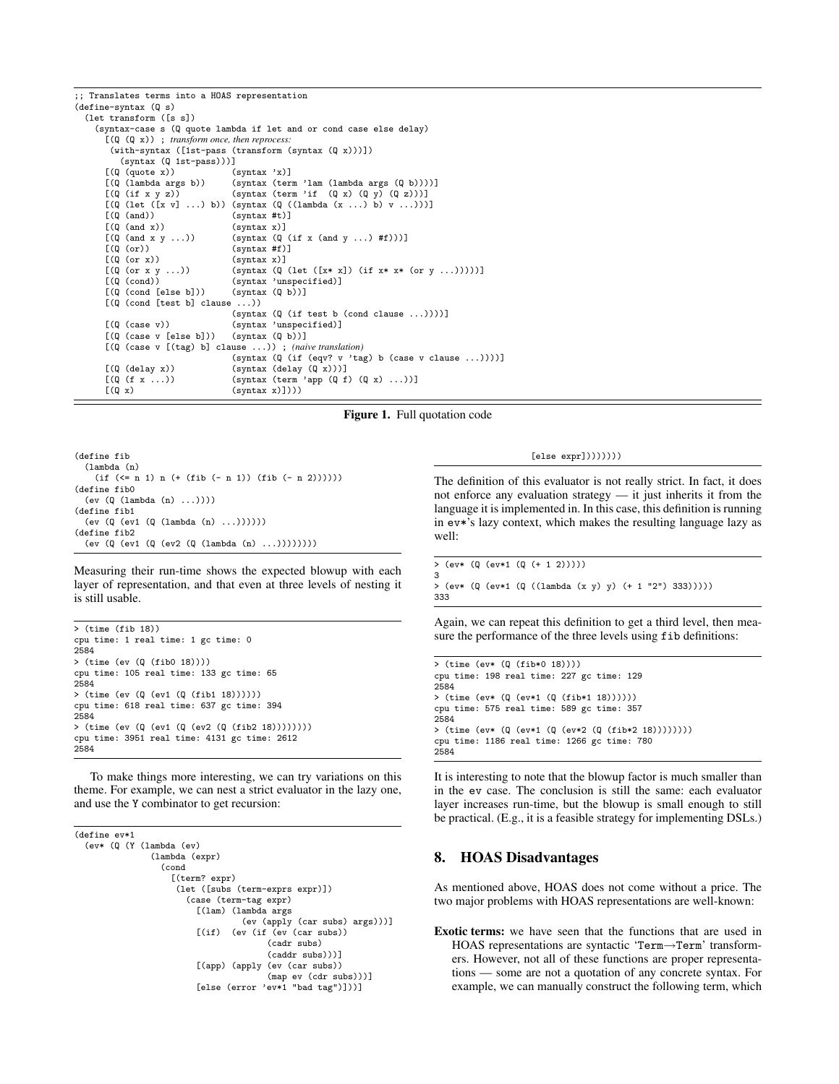```
;; Translates terms into a HOAS representation
(define-syntax (Q s)
   (let transform ([s s])
      (syntax-case s (Q quote lambda if let and or cond case else delay)
         [(Q (Q x)) ; transform once, then reprocess:
           (with-syntax ([1st-pass (transform (syntax (Q x)))])
               (syntax (Q 1st-pass)))]
         [(Q (quote x)) (syntax 'x)]<br>[(Q (lambda args b)) (syntax (ter
         [(Q (lambda args b)) (syntax (term 'lam (lambda args (Q b))))]<br>[(Q (if x y z)) (syntax (term 'if (Q x) (Q y) (Q z))]
                                                     (syntax (term 'if (Q x) (Q y) (Q z))))[(\mathbb{Q} \text{ (let } ([x v] ... ) b)) \text{ (syntax } (\mathbb{Q} \text{ ((lambda } (x ... ) b) v ...))))]<br>[(\mathbb{Q} \text{ (and)}) \text{ (syntax #t)}](syntax #t)]
         [(\mathbb{Q} \text{ (and } x)) (syntax x)]<br>[(\mathbb{Q} \text{ (and } x y \dots)) (syntax (\mathbb{Q} \text{)})
         [(\mathbb{Q} \text{ (and } x y \dots)) \qquad (\text{syntax } (\mathbb{Q} \text{ (if } x \text{ (and } y \dots) \text{ #f})))]<br>[(\mathbb{Q} \text{ (or})) \qquad (\text{syntax #f})](syntax #f)]
         [(\mathbb{Q}(\text{or } x)) (syntax x)]<br>[(\mathbb{Q}(\text{or } x y \dots)) (syntax (\mathbb{Q})
         [(\mathbb{Q}(\text{or } x \ y \dots)) (syntax (\mathbb{Q}(\text{let }([x * x]) (if x * x * (or y \dots)))))]<br>[(\mathbb{Q}(\text{cond})) (syntax 'unspecified)]
                                                    (syntax 'unspecified)]<br>(syntax (Q b))][(Q (cond [else b]))[(Q (cond [test b] clause ...))
                                                    (syntax (Q (if test b (cond clause ...))))]
         [(\mathbb{Q}(\text{case } v)) (syntax 'unspecified)]<br>[(\mathbb{Q}(\text{case } v \text{ [else } b])) (syntax (\mathbb{Q} b))][(\mathbb{Q} (case \ v [else \ b]))[(Q (case v [(tag) b] clause ...)) ; (naive translation)
                                                     (syntax (Q (if (eqv? v 'tag) b (case v clause ...))))[(\mathbb{Q} \text{ (delay } x)) (syntax (delay (\mathbb{Q} x)))<br>[(\mathbb{Q} \text{ (f } x \dots)) (syntax (term 'app (\mathbb{Q} \text{ f})[(\mathbb{Q} (f x ...)) (syntax (term 'app (\mathbb{Q} f) (\mathbb{Q} x) ...)]<br>[(\mathbb{Q} x) (syntax x)])))
                                                     (syntax x))))
```
<span id="page-4-0"></span>

(define fib (lambda (n) (if (<= n 1) n (+ (fib (- n 1)) (fib (- n 2)))))) (define fib0 (ev (Q (lambda (n) ...)))) (define fib1 (ev (Q (ev1 (Q (lambda (n) ...)))))) (define fib2 (ev (Q (ev1 (Q (ev2 (Q (lambda (n) ...))))))))

Measuring their run-time shows the expected blowup with each layer of representation, and that even at three levels of nesting it is still usable.

> (time (fib 18)) cpu time: 1 real time: 1 gc time: 0 2584 > (time (ev (Q (fib0 18)))) cpu time: 105 real time: 133 gc time: 65 2584 > (time (ev (Q (ev1 (Q (fib1 18)))))) cpu time: 618 real time: 637 gc time: 394 2584 > (time (ev (Q (ev1 (Q (ev2 (Q (fib2 18)))))))) cpu time: 3951 real time: 4131 gc time: 2612 2584

To make things more interesting, we can try variations on this theme. For example, we can nest a strict evaluator in the lazy one, and use the Y combinator to get recursion:

```
(define ev*1
 (ev* (Q (Y (lambda (ev)
               (lambda (expr)
                 (cond
                   [(term? expr)
                    (let ([subs (term-exprs expr)])
                      (case (term-tag expr)
                        [(lam) (lambda args
                                  (ev (apply (car subs) args)))]
                        [(if) (ev (if (ev (car subs))
                                       (cadr subs)
                                       (caddr subs)))]
                        [(app) (apply (ev (car subs))
                                       (map ev (cdr subs)))]
                        [else (error 'ev*1 "bad tag")]))]
```
[else expr])))))))

The definition of this evaluator is not really strict. In fact, it does not enforce any evaluation strategy — it just inherits it from the language it is implemented in. In this case, this definition is running in ev\*'s lazy context, which makes the resulting language lazy as well:

```
> (ev* (Q (ev*1 (Q (+ 1 2)))))
3
> (ev* (Q (ev*1 (Q ((lambda (x y) y) (+ 1 "2") 333)))))
333
```
Again, we can repeat this definition to get a third level, then measure the performance of the three levels using  $f$  ib definitions:

```
> (time (ev* (Q (fib*0 18))))
cpu time: 198 real time: 227 gc time: 129
2584
> (time (ev* (Q (ev*1 (Q (fib*1 18))))))
cpu time: 575 real time: 589 gc time: 357
2584
> (time (ev* (Q (ev*1 (Q (ev*2 (Q (fib*2 18))))))))
cpu time: 1186 real time: 1266 gc time: 780
2584
```
It is interesting to note that the blowup factor is much smaller than in the ev case. The conclusion is still the same: each evaluator layer increases run-time, but the blowup is small enough to still be practical. (E.g., it is a feasible strategy for implementing DSLs.)

#### 8. HOAS Disadvantages

As mentioned above, HOAS does not come without a price. The two major problems with HOAS representations are well-known:

Exotic terms: we have seen that the functions that are used in HOAS representations are syntactic 'Term→Term' transformers. However, not all of these functions are proper representations — some are not a quotation of any concrete syntax. For example, we can manually construct the following term, which